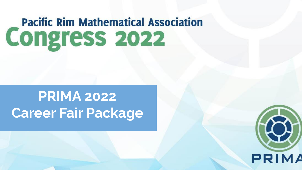# **Pacific Rim Mathematical Association Congress 2022**

## **PRIMA 2022 Career Fair Package**

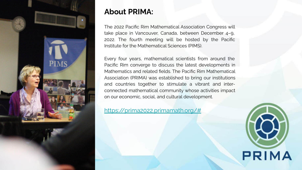

### **About PRIMA:**

The 2022 Pacific Rim Mathematical Association Congress will take place in Vancouver, Canada, between December 4–9, 2022. The fourth meeting will be hosted by the Pacific Institute for the Mathematical Sciences (PIMS).

Every four years, mathematical scientists from around the Pacific Rim converge to discuss the latest developments in Mathematics and related fields. The Pacific Rim Mathematical Association (PRIMA) was established to bring our institutions and countries together to stimulate a vibrant and interconnected mathematical community whose activities impact on our economic, social, and cultural development.

<https://prima2022.primamath.org/#>

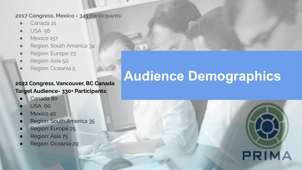#### **2017 Congress, Mexico - 343 Participants:**

- Canada 21
- **USA 56**
- Mexico 157
- Region: South America 34
- Region: Europe 23
- Region: Asia 50
- Region: Oceania 5

#### **2022 Congress, Vancouver, BC Canada Target Audience- 330+ Participants:**

- Canada 80
- **USA 60**
- Mexico 40
- Region: South America 35
- Region: Europe 25
- Region: Asia 75
- Region: Oceania 20

## **Audience Demographics**

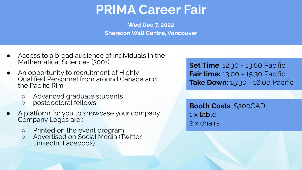### **PRIMA Career Fair**

**Wed Dec 7, 2022 Sheraton Wall Centre, Vancouver**

- Access to a broad audience of individuals in the Mathematical Sciences (300+)
- An opportunity to recruitment of Highly Qualified Personnel from around Canada and the Pacific Rim.
	- Advanced graduate students
	- postdoctoral fellows
- A platform for you to showcase your company. Company Logos are :
	- Printed on the event program
	- Advertised on Social Media (Twitter, LinkedIn, Facebook)

**Set Time**: 12:30 - 13:00 Pacific **Fair time:** 13:00 - 15:30 Pacific **Take Down:** 15:30 - 16:00 Pacific

**Booth Costs**: \$300CAD 1 x table 2 x chairs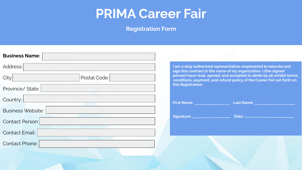### **PRIMA Career Fair**

**Registration Form** 

| <b>Business Name:</b>    |                                    |
|--------------------------|------------------------------------|
| Address:                 | I am a duly aut<br>sign this contr |
| Postal Code<br>City      | person) have r<br>conditions, pay  |
| Province/State:          | this Registration                  |
| Country:                 | <b>First Name:</b>                 |
| <b>Business Website:</b> |                                    |
| Contact Person:          | Signature:                         |
| Contact Email:           |                                    |
| Contact Phone:           |                                    |
|                          |                                    |

**I am a duly authorized representative empowered to execute and sign this contract in the name of my organization. I (the signed person) have read, agreed, and accepted to abide by all exhibit terms, conditions, payment, and refund policy of the Career Fair set forth on**  on.

| <b>First Name:</b> | <b>Last Name:</b> |
|--------------------|-------------------|
| Signature:         | Date:             |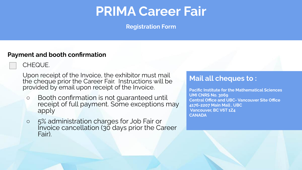### **PRIMA Career Fair**

**Registration Form**

#### **Payment and booth confirmation**

CHEQUE.

Upon receipt of the Invoice, the exhibitor must mail the cheque prior the Career Fair. Instructions will be provided by email upon receipt of the Invoice.

- Booth confirmation is not guaranteed until receipt of full payment. Some exceptions may apply
- 5% administration charges for Job Fair or Invoice cancellation (30 days prior the Career Fair).

### **Mail all cheques to :**

**Pacific Institute for the Mathematical Sciences UMI CNRS No. 3069 Central Office and UBC- Vancouver Site Office 4176-2207 Main Mall , UBC Vancouver, BC V6T 1Z4 CANADA**